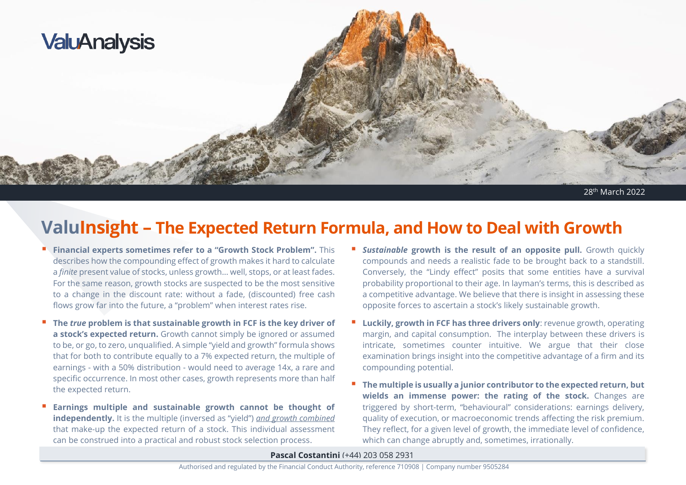

```
28th March 2022
```
# **ValuInsight – The Expected Return Formula, and How to Deal with Growth**

- **Financial experts sometimes refer to a "Growth Stock Problem".** This describes how the compounding effect of growth makes it hard to calculate a *finite* present value of stocks, unless growth… well, stops, or at least fades. For the same reason, growth stocks are suspected to be the most sensitive to a change in the discount rate: without a fade, (discounted) free cash flows grow far into the future, a "problem" when interest rates rise.
- **The** *true* **problem is that sustainable growth in FCF is the key driver of a stock's expected return.** Growth cannot simply be ignored or assumed to be, or go, to zero, unqualified. A simple "yield and growth" formula shows that for both to contribute equally to a 7% expected return, the multiple of earnings - with a 50% distribution - would need to average 14x, a rare and specific occurrence. In most other cases, growth represents more than half the expected return.
- **Earnings multiple and sustainable growth cannot be thought of independently.** It is the multiple (inversed as "yield") *and growth combined* that make-up the expected return of a stock. This individual assessment can be construed into a practical and robust stock selection process.
- **E** Sustainable growth is the result of an opposite pull. Growth quickly compounds and needs a realistic fade to be brought back to a standstill. Conversely, the "Lindy effect" posits that some entities have a survival probability proportional to their age. In layman's terms, this is described as a competitive advantage. We believe that there is insight in assessing these opposite forces to ascertain a stock's likely sustainable growth.
- **Luckily, growth in FCF has three drivers only**: revenue growth, operating margin, and capital consumption. The interplay between these drivers is intricate, sometimes counter intuitive. We argue that their close examination brings insight into the competitive advantage of a firm and its compounding potential.
- **The multiple is usually a junior contributor to the expected return, but wields an immense power: the rating of the stock.** Changes are triggered by short-term, "behavioural" considerations: earnings delivery, quality of execution, or macroeconomic trends affecting the risk premium. They reflect, for a given level of growth, the immediate level of confidence, which can change abruptly and, sometimes, irrationally.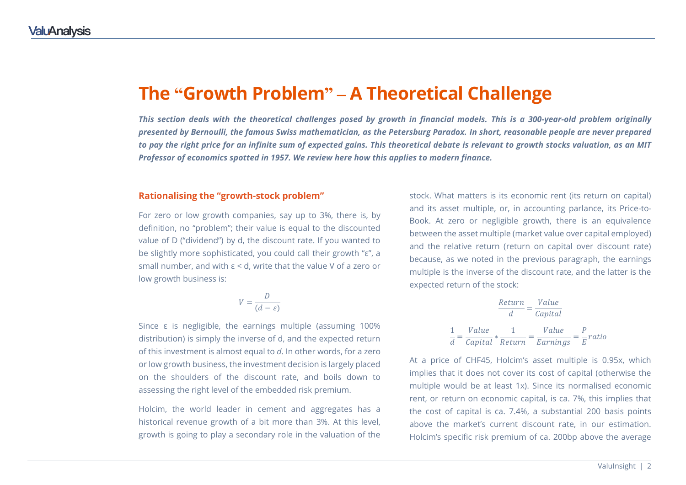### **The "Growth Problem" – A Theoretical Challenge**

*This section deals with the theoretical challenges posed by growth in financial models. This is a 300-year-old problem originally presented by Bernoulli, the famous Swiss mathematician, as the Petersburg Paradox. In short, reasonable people are never prepared to pay the right price for an infinite sum of expected gains. This theoretical debate is relevant to growth stocks valuation, as an MIT Professor of economics spotted in 1957. We review here how this applies to modern finance.*

#### **Rationalising the "growth-stock problem"**

For zero or low growth companies, say up to 3%, there is, by definition, no "problem"; their value is equal to the discounted value of D ("dividend") by d, the discount rate. If you wanted to be slightly more sophisticated, you could call their growth "ε", a small number, and with ε < d, write that the value V of a zero or low growth business is:

$$
V = \frac{D}{(d - \varepsilon)}
$$

Since ε is negligible, the earnings multiple (assuming 100% distribution) is simply the inverse of d, and the expected return of this investment is almost equal to *d*. In other words, for a zero or low growth business, the investment decision is largely placed on the shoulders of the discount rate, and boils down to assessing the right level of the embedded risk premium.

Holcim, the world leader in cement and aggregates has a historical revenue growth of a bit more than 3%. At this level, growth is going to play a secondary role in the valuation of the

stock. What matters is its economic rent (its return on capital) and its asset multiple, or, in accounting parlance, its Price-to-Book. At zero or negligible growth, there is an equivalence between the asset multiple (market value over capital employed) and the relative return (return on capital over discount rate) because, as we noted in the previous paragraph, the earnings multiple is the inverse of the discount rate, and the latter is the expected return of the stock:

$$
\frac{Return}{d} = \frac{Value}{Capital}
$$

$$
\frac{1}{d} = \frac{Value}{Capital} * \frac{1}{Return} = \frac{Value}{Earning} = \frac{P}{E} ratio
$$

At a price of CHF45, Holcim's asset multiple is 0.95x, which implies that it does not cover its cost of capital (otherwise the multiple would be at least 1x). Since its normalised economic rent, or return on economic capital, is ca. 7%, this implies that the cost of capital is ca. 7.4%, a substantial 200 basis points above the market's current discount rate, in our estimation. Holcim's specific risk premium of ca. 200bp above the average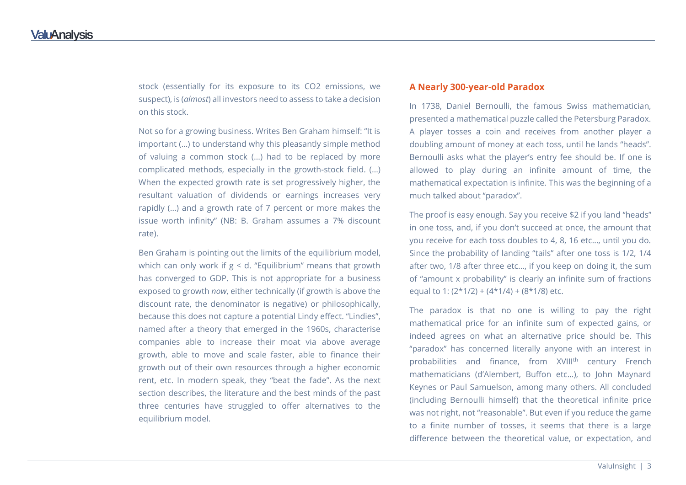stock (essentially for its exposure to its CO2 emissions, we suspect), is (*almost*) all investors need to assess to take a decision on this stock.

Not so for a growing business. Writes Ben Graham himself: "It is important (…) to understand why this pleasantly simple method of valuing a common stock (…) had to be replaced by more complicated methods, especially in the growth-stock field. (…) When the expected growth rate is set progressively higher, the resultant valuation of dividends or earnings increases very rapidly (…) and a growth rate of 7 percent or more makes the issue worth infinity" (NB: B. Graham assumes a 7% discount rate).

Ben Graham is pointing out the limits of the equilibrium model, which can only work if  $g < d$ . "Equilibrium" means that growth has converged to GDP. This is not appropriate for a business exposed to growth *now*, either technically (if growth is above the discount rate, the denominator is negative) or philosophically, because this does not capture a potential Lindy effect. "Lindies", named after a theory that emerged in the 1960s, characterise companies able to increase their moat via above average growth, able to move and scale faster, able to finance their growth out of their own resources through a higher economic rent, etc. In modern speak, they "beat the fade". As the next section describes, the literature and the best minds of the past three centuries have struggled to offer alternatives to the equilibrium model.

#### **A Nearly 300-year-old Paradox**

In 1738, Daniel Bernoulli, the famous Swiss mathematician, presented a mathematical puzzle called the Petersburg Paradox. A player tosses a coin and receives from another player a doubling amount of money at each toss, until he lands "heads". Bernoulli asks what the player's entry fee should be. If one is allowed to play during an infinite amount of time, the mathematical expectation is infinite. This was the beginning of a much talked about "paradox".

The proof is easy enough. Say you receive \$2 if you land "heads" in one toss, and, if you don't succeed at once, the amount that you receive for each toss doubles to 4, 8, 16 etc…, until you do. Since the probability of landing "tails" after one toss is 1/2, 1/4 after two, 1/8 after three etc…, if you keep on doing it, the sum of "amount x probability" is clearly an infinite sum of fractions equal to 1:  $(2*1/2) + (4*1/4) + (8*1/8)$  etc.

The paradox is that no one is willing to pay the right mathematical price for an infinite sum of expected gains, or indeed agrees on what an alternative price should be. This "paradox" has concerned literally anyone with an interest in probabilities and finance, from XVIII<sup>th</sup> century French mathematicians (d'Alembert, Buffon etc…), to John Maynard Keynes or Paul Samuelson, among many others. All concluded (including Bernoulli himself) that the theoretical infinite price was not right, not "reasonable". But even if you reduce the game to a finite number of tosses, it seems that there is a large difference between the theoretical value, or expectation, and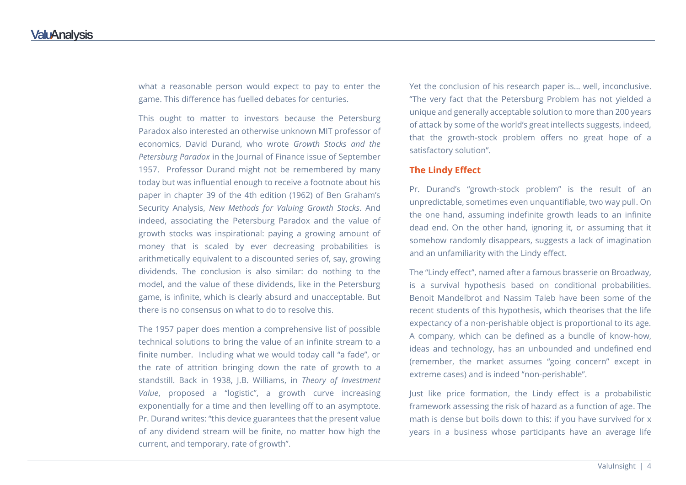what a reasonable person would expect to pay to enter the game. This difference has fuelled debates for centuries.

This ought to matter to investors because the Petersburg Paradox also interested an otherwise unknown MIT professor of economics, David Durand, who wrote *Growth Stocks and the Petersburg Paradox* in the Journal of Finance issue of September 1957. Professor Durand might not be remembered by many today but was influential enough to receive a footnote about his paper in chapter 39 of the 4th edition (1962) of Ben Graham's Security Analysis, *New Methods for Valuing Growth Stocks*. And indeed, associating the Petersburg Paradox and the value of growth stocks was inspirational: paying a growing amount of money that is scaled by ever decreasing probabilities is arithmetically equivalent to a discounted series of, say, growing dividends. The conclusion is also similar: do nothing to the model, and the value of these dividends, like in the Petersburg game, is infinite, which is clearly absurd and unacceptable. But there is no consensus on what to do to resolve this.

The 1957 paper does mention a comprehensive list of possible technical solutions to bring the value of an infinite stream to a finite number. Including what we would today call "a fade", or the rate of attrition bringing down the rate of growth to a standstill. Back in 1938, J.B. Williams, in *Theory of Investment Value*, proposed a "logistic", a growth curve increasing exponentially for a time and then levelling off to an asymptote. Pr. Durand writes: "this device guarantees that the present value of any dividend stream will be finite, no matter how high the current, and temporary, rate of growth".

Yet the conclusion of his research paper is… well, inconclusive. "The very fact that the Petersburg Problem has not yielded a unique and generally acceptable solution to more than 200 years of attack by some of the world's great intellects suggests, indeed, that the growth-stock problem offers no great hope of a satisfactory solution".

#### **The Lindy Effect**

Pr. Durand's "growth-stock problem" is the result of an unpredictable, sometimes even unquantifiable, two way pull. On the one hand, assuming indefinite growth leads to an infinite dead end. On the other hand, ignoring it, or assuming that it somehow randomly disappears, suggests a lack of imagination and an unfamiliarity with the Lindy effect.

The "Lindy effect", named after a famous brasserie on Broadway, is a survival hypothesis based on conditional probabilities. Benoit Mandelbrot and Nassim Taleb have been some of the recent students of this hypothesis, which theorises that the life expectancy of a non-perishable object is proportional to its age. A company, which can be defined as a bundle of know-how, ideas and technology, has an unbounded and undefined end (remember, the market assumes "going concern" except in extreme cases) and is indeed "non-perishable".

Just like price formation, the Lindy effect is a probabilistic framework assessing the risk of hazard as a function of age. The math is dense but boils down to this: if you have survived for x years in a business whose participants have an average life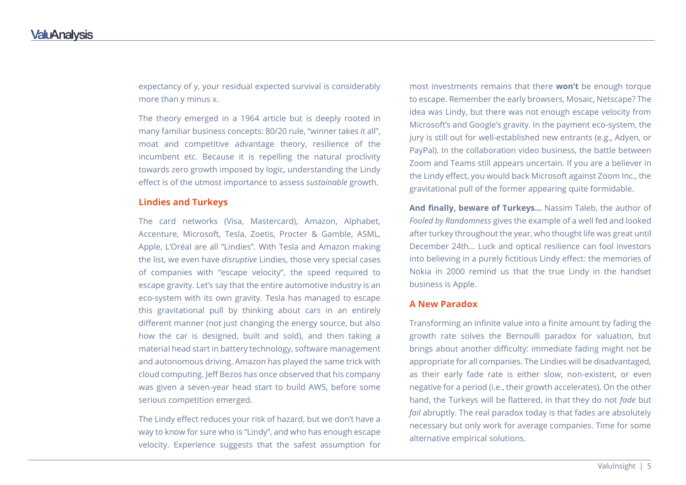expectancy of y, your residual expected survival is considerably more than y minus x.

The theory emerged in a 1964 article but is deeply rooted in many familiar business concepts: 80/20 rule, "winner takes it all", moat and competitive advantage theory, resilience of the incumbent etc. Because it is repelling the natural proclivity towards zero growth imposed by logic, understanding the Lindy effect is of the utmost importance to assess *sustainable* growth.

#### **Lindies and Turkeys**

The card networks (Visa, Mastercard), Amazon, Alphabet, Accenture, Microsoft, Tesla, Zoetis, Procter & Gamble, ASML, Apple, L'Oréal are all "Lindies". With Tesla and Amazon making the list, we even have *disruptive* Lindies, those very special cases of companies with "escape velocity", the speed required to escape gravity. Let's say that the entire automotive industry is an eco-system with its own gravity. Tesla has managed to escape this gravitational pull by thinking about cars in an entirely different manner (not just changing the energy source, but also how the car is designed, built and sold), and then taking a material head start in battery technology, software management and autonomous driving. Amazon has played the same trick with cloud computing. Jeff Bezos has once observed that his company was given a seven-year head start to build AWS, before some serious competition emerged.

The Lindy effect reduces your risk of hazard, but we don't have a way to know for sure who is "Lindy", and who has enough escape velocity. Experience suggests that the safest assumption for

most investments remains that there **won't** be enough torque to escape. Remember the early browsers, Mosaic, Netscape? The idea was Lindy, but there was not enough escape velocity from Microsoft's and Google's gravity. In the payment eco-system, the jury is still out for well-established new entrants (e.g., Adyen, or PayPal). In the collaboration video business, the battle between Zoom and Teams still appears uncertain. If you are a believer in the Lindy effect, you would back Microsoft against Zoom Inc., the gravitational pull of the former appearing quite formidable.

**And finally, beware of Turkeys…** Nassim Taleb, the author of *Fooled by Randomness* gives the example of a well fed and looked after turkey throughout the year, who thought life was great until December 24th… Luck and optical resilience can fool investors into believing in a purely fictitious Lindy effect: the memories of Nokia in 2000 remind us that the true Lindy in the handset business is Apple.

#### **A New Paradox**

Transforming an infinite value into a finite amount by fading the growth rate solves the Bernoulli paradox for valuation, but brings about another difficulty: immediate fading might not be appropriate for all companies. The Lindies will be disadvantaged, as their early fade rate is either slow, non-existent, or even negative for a period (i.e., their growth accelerates). On the other hand, the Turkeys will be flattered, in that they do not *fade* but *fail* abruptly. The real paradox today is that fades are absolutely necessary but only work for average companies. Time for some alternative empirical solutions.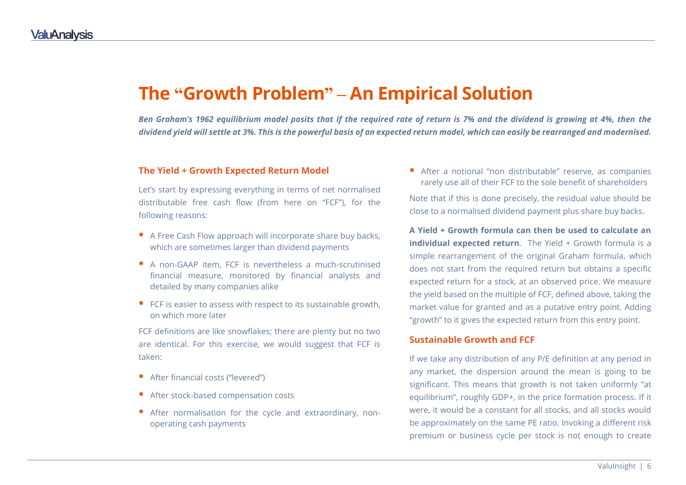## **The "Growth Problem" – An Empirical Solution**

*Ben Graham's 1962 equilibrium model posits that if the required rate of return is 7% and the dividend is growing at 4%, then the dividend yield will settle at 3%. This is the powerful basis of an expected return model, which can easily be rearranged and modernised.*

#### **The Yield + Growth Expected Return Model**

Let's start by expressing everything in terms of net normalised distributable free cash flow (from here on "FCF"), for the following reasons:

- A Free Cash Flow approach will incorporate share buy backs, which are sometimes larger than dividend payments
- A non-GAAP item, FCF is nevertheless a much-scrutinised financial measure, monitored by financial analysts and detailed by many companies alike
- $\blacksquare$  FCF is easier to assess with respect to its sustainable growth, on which more later

FCF definitions are like snowflakes; there are plenty but no two are identical. For this exercise, we would suggest that FCF is taken:

- After financial costs ("levered")
- After stock-based compensation costs
- After normalisation for the cycle and extraordinary, nonoperating cash payments

 After a notional "non distributable" reserve, as companies rarely use all of their FCF to the sole benefit of shareholders

Note that if this is done precisely, the residual value should be close to a normalised dividend payment plus share buy backs.

**A Yield + Growth formula can then be used to calculate an individual expected return**. The Yield + Growth formula is a simple rearrangement of the original Graham formula, which does not start from the required return but obtains a specific expected return for a stock, at an observed price. We measure the yield based on the multiple of FCF, defined above, taking the market value for granted and as a putative entry point. Adding "growth" to it gives the expected return from this entry point.

#### **Sustainable Growth and FCF**

If we take any distribution of any P/E definition at any period in any market, the dispersion around the mean is going to be significant. This means that growth is not taken uniformly "at equilibrium", roughly GDP+, in the price formation process. If it were, it would be a constant for all stocks, and all stocks would be approximately on the same PE ratio. Invoking a different risk premium or business cycle per stock is not enough to create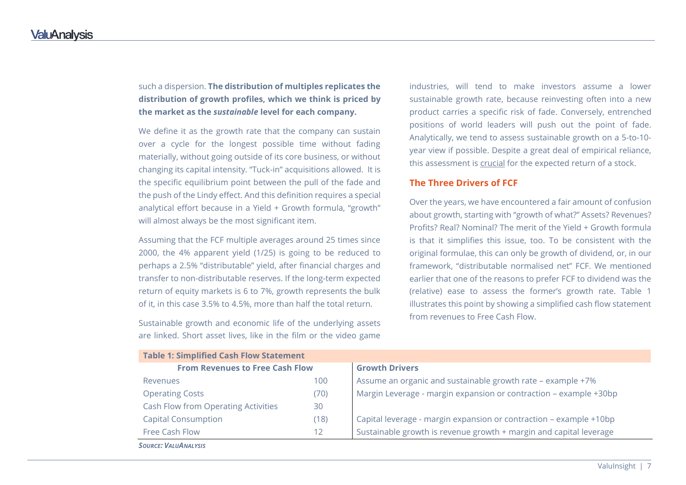such a dispersion. **The distribution of multiples replicates the distribution of growth profiles, which we think is priced by the market as the** *sustainable* **level for each company.**

We define it as the growth rate that the company can sustain over a cycle for the longest possible time without fading materially, without going outside of its core business, or without changing its capital intensity. "Tuck-in" acquisitions allowed. It is the specific equilibrium point between the pull of the fade and the push of the Lindy effect. And this definition requires a special analytical effort because in a Yield + Growth formula, "growth" will almost always be the most significant item.

Assuming that the FCF multiple averages around 25 times since 2000, the 4% apparent yield (1/25) is going to be reduced to perhaps a 2.5% "distributable" yield, after financial charges and transfer to non-distributable reserves. If the long-term expected return of equity markets is 6 to 7%, growth represents the bulk of it, in this case 3.5% to 4.5%, more than half the total return.

Sustainable growth and economic life of the underlying assets are linked. Short asset lives, like in the film or the video game

**Table 1: Simplified Cash Flow Statement**

industries, will tend to make investors assume a lower sustainable growth rate, because reinvesting often into a new product carries a specific risk of fade. Conversely, entrenched positions of world leaders will push out the point of fade. Analytically, we tend to assess sustainable growth on a 5-to-10 year view if possible. Despite a great deal of empirical reliance, this assessment is crucial for the expected return of a stock.

#### **The Three Drivers of FCF**

Over the years, we have encountered a fair amount of confusion about growth, starting with "growth of what?" Assets? Revenues? Profits? Real? Nominal? The merit of the Yield + Growth formula is that it simplifies this issue, too. To be consistent with the original formulae, this can only be growth of dividend, or, in our framework, "distributable normalised net" FCF. We mentioned earlier that one of the reasons to prefer FCF to dividend was the (relative) ease to assess the former's growth rate. Table 1 illustrates this point by showing a simplified cash flow statement from revenues to Free Cash Flow.

| Table 1: Simplified Cash Flow Statement |      |                                                                    |  |
|-----------------------------------------|------|--------------------------------------------------------------------|--|
| <b>From Revenues to Free Cash Flow</b>  |      | <b>Growth Drivers</b>                                              |  |
| Revenues                                | 100  | Assume an organic and sustainable growth rate - example +7%        |  |
| <b>Operating Costs</b>                  | (70) | Margin Leverage - margin expansion or contraction - example +30bp  |  |
| Cash Flow from Operating Activities     | 30   |                                                                    |  |
| <b>Capital Consumption</b>              | (18) | Capital leverage - margin expansion or contraction - example +10bp |  |
| Free Cash Flow                          | 12   | Sustainable growth is revenue growth + margin and capital leverage |  |
| <b>SOURCE: VALUANALYSIS</b>             |      |                                                                    |  |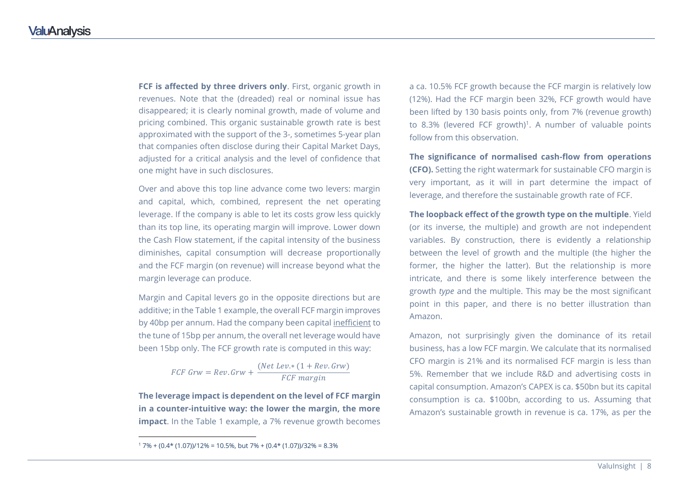**FCF is affected by three drivers only**. First, organic growth in revenues. Note that the (dreaded) real or nominal issue has disappeared; it is clearly nominal growth, made of volume and pricing combined. This organic sustainable growth rate is best approximated with the support of the 3-, sometimes 5-year plan that companies often disclose during their Capital Market Days, adjusted for a critical analysis and the level of confidence that one might have in such disclosures.

Over and above this top line advance come two levers: margin and capital, which, combined, represent the net operating leverage. If the company is able to let its costs grow less quickly than its top line, its operating margin will improve. Lower down the Cash Flow statement, if the capital intensity of the business diminishes, capital consumption will decrease proportionally and the FCF margin (on revenue) will increase beyond what the margin leverage can produce.

Margin and Capital levers go in the opposite directions but are additive; in the Table 1 example, the overall FCF margin improves by 40bp per annum. Had the company been capital inefficient to the tune of 15bp per annum, the overall net leverage would have been 15bp only. The FCF growth rate is computed in this way:

$$
FCF\ Grw = Rev.Grw + \frac{(Net\ Lev.*(1+Rev.Grw))}{FCF\ margin}
$$

**The leverage impact is dependent on the level of FCF margin in a counter-intuitive way: the lower the margin, the more impact**. In the Table 1 example, a 7% revenue growth becomes

 $\overline{a}$ 

a ca. 10.5% FCF growth because the FCF margin is relatively low (12%). Had the FCF margin been 32%, FCF growth would have been lifted by 130 basis points only, from 7% (revenue growth) to 8.3% (levered FCF growth)<sup>1</sup>. A number of valuable points follow from this observation.

**The significance of normalised cash-flow from operations (CFO).** Setting the right watermark for sustainable CFO margin is very important, as it will in part determine the impact of leverage, and therefore the sustainable growth rate of FCF.

**The loopback effect of the growth type on the multiple**. Yield (or its inverse, the multiple) and growth are not independent variables. By construction, there is evidently a relationship between the level of growth and the multiple (the higher the former, the higher the latter). But the relationship is more intricate, and there is some likely interference between the growth *type* and the multiple. This may be the most significant point in this paper, and there is no better illustration than Amazon.

Amazon, not surprisingly given the dominance of its retail business, has a low FCF margin. We calculate that its normalised CFO margin is 21% and its normalised FCF margin is less than 5%. Remember that we include R&D and advertising costs in capital consumption. Amazon's CAPEX is ca. \$50bn but its capital consumption is ca. \$100bn, according to us. Assuming that Amazon's sustainable growth in revenue is ca. 17%, as per the

 $17\% + (0.4*(1.07))/12\% = 10.5\%$ , but 7% +  $(0.4*(1.07))/32\% = 8.3\%$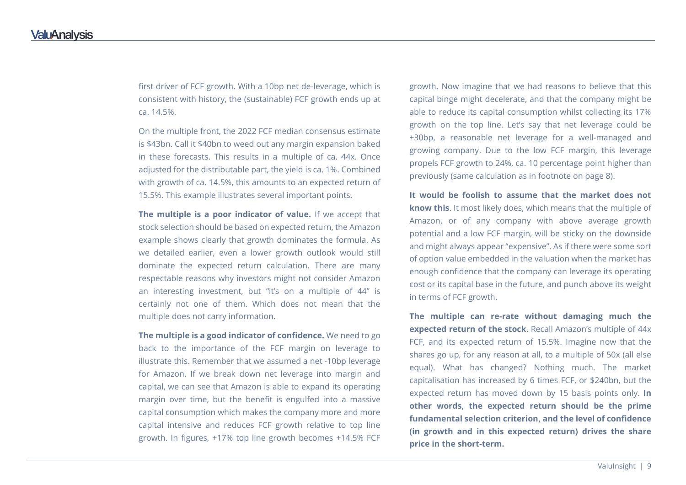first driver of FCF growth. With a 10bp net de-leverage, which is consistent with history, the (sustainable) FCF growth ends up at ca. 14.5%.

On the multiple front, the 2022 FCF median consensus estimate is \$43bn. Call it \$40bn to weed out any margin expansion baked in these forecasts. This results in a multiple of ca. 44x. Once adjusted for the distributable part, the yield is ca. 1%. Combined with growth of ca. 14.5%, this amounts to an expected return of 15.5%. This example illustrates several important points.

**The multiple is a poor indicator of value.** If we accept that stock selection should be based on expected return, the Amazon example shows clearly that growth dominates the formula. As we detailed earlier, even a lower growth outlook would still dominate the expected return calculation. There are many respectable reasons why investors might not consider Amazon an interesting investment, but "it's on a multiple of 44" is certainly not one of them. Which does not mean that the multiple does not carry information.

**The multiple is a good indicator of confidence.** We need to go back to the importance of the FCF margin on leverage to illustrate this. Remember that we assumed a net -10bp leverage for Amazon. If we break down net leverage into margin and capital, we can see that Amazon is able to expand its operating margin over time, but the benefit is engulfed into a massive capital consumption which makes the company more and more capital intensive and reduces FCF growth relative to top line growth. In figures, +17% top line growth becomes +14.5% FCF

growth. Now imagine that we had reasons to believe that this capital binge might decelerate, and that the company might be able to reduce its capital consumption whilst collecting its 17% growth on the top line. Let's say that net leverage could be +30bp, a reasonable net leverage for a well-managed and growing company. Due to the low FCF margin, this leverage propels FCF growth to 24%, ca. 10 percentage point higher than previously (same calculation as in footnote on page 8).

**It would be foolish to assume that the market does not know this**. It most likely does, which means that the multiple of Amazon, or of any company with above average growth potential and a low FCF margin, will be sticky on the downside and might always appear "expensive". As if there were some sort of option value embedded in the valuation when the market has enough confidence that the company can leverage its operating cost or its capital base in the future, and punch above its weight in terms of FCF growth.

**The multiple can re-rate without damaging much the expected return of the stock**. Recall Amazon's multiple of 44x FCF, and its expected return of 15.5%. Imagine now that the shares go up, for any reason at all, to a multiple of 50x (all else equal). What has changed? Nothing much. The market capitalisation has increased by 6 times FCF, or \$240bn, but the expected return has moved down by 15 basis points only. **In other words, the expected return should be the prime fundamental selection criterion, and the level of confidence (in growth and in this expected return) drives the share price in the short-term.**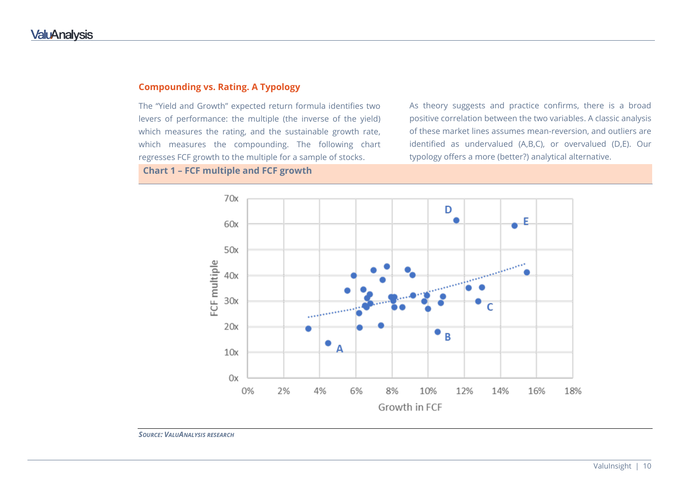#### **Compounding vs. Rating. A Typology**

The "Yield and Growth" expected return formula identifies two levers of performance: the multiple (the inverse of the yield) which measures the rating, and the sustainable growth rate, which measures the compounding. The following chart regresses FCF growth to the multiple for a sample of stocks.

As theory suggests and practice confirms, there is a broad positive correlation between the two variables. A classic analysis of these market lines assumes mean-reversion, and outliers are identified as undervalued (A,B,C), or overvalued (D,E). Our typology offers a more (better?) analytical alternative.

**Chart 1 – FCF multiple and FCF growth** 



*SOURCE: VALUANALYSIS RESEARCH*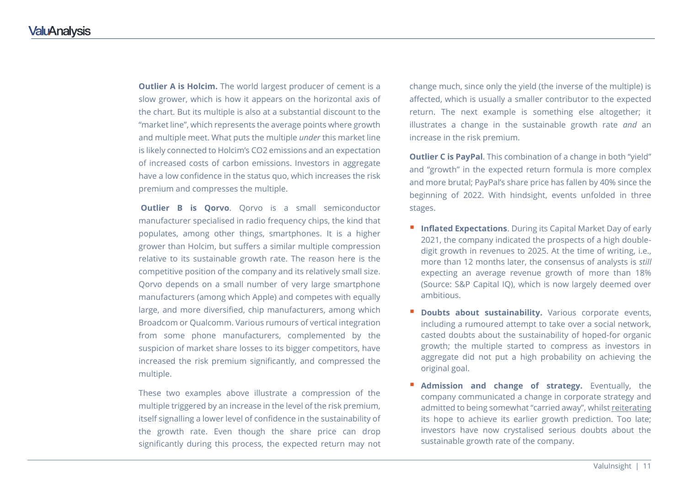**Outlier A is Holcim.** The world largest producer of cement is a slow grower, which is how it appears on the horizontal axis of the chart. But its multiple is also at a substantial discount to the "market line", which represents the average points where growth and multiple meet. What puts the multiple *under* this market line is likely connected to Holcim's CO2 emissions and an expectation of increased costs of carbon emissions. Investors in aggregate have a low confidence in the status quo, which increases the risk premium and compresses the multiple.

**Outlier B is Qorvo.** Oorvo is a small semiconductor manufacturer specialised in radio frequency chips, the kind that populates, among other things, smartphones. It is a higher grower than Holcim, but suffers a similar multiple compression relative to its sustainable growth rate. The reason here is the competitive position of the company and its relatively small size. Qorvo depends on a small number of very large smartphone manufacturers (among which Apple) and competes with equally large, and more diversified, chip manufacturers, among which Broadcom or Qualcomm. Various rumours of vertical integration from some phone manufacturers, complemented by the suspicion of market share losses to its bigger competitors, have increased the risk premium significantly, and compressed the multiple.

These two examples above illustrate a compression of the multiple triggered by an increase in the level of the risk premium, itself signalling a lower level of confidence in the sustainability of the growth rate. Even though the share price can drop significantly during this process, the expected return may not change much, since only the yield (the inverse of the multiple) is affected, which is usually a smaller contributor to the expected return. The next example is something else altogether; it illustrates a change in the sustainable growth rate *and* an increase in the risk premium.

**Outlier C is PayPal**. This combination of a change in both "yield" and "growth" in the expected return formula is more complex and more brutal; PayPal's share price has fallen by 40% since the beginning of 2022. With hindsight, events unfolded in three stages.

- **Inflated Expectations**. During its Capital Market Day of early 2021, the company indicated the prospects of a high doubledigit growth in revenues to 2025. At the time of writing, i.e., more than 12 months later, the consensus of analysts is *still* expecting an average revenue growth of more than 18% (Source: S&P Capital IQ), which is now largely deemed over ambitious.
- **Doubts about sustainability.** Various corporate events, including a rumoured attempt to take over a social network, casted doubts about the sustainability of hoped-for organic growth; the multiple started to compress as investors in aggregate did not put a high probability on achieving the original goal.
- **Admission and change of strategy.** Eventually, the company communicated a change in corporate strategy and admitted to being somewhat "carried away", whilst reiterating its hope to achieve its earlier growth prediction. Too late; investors have now crystalised serious doubts about the sustainable growth rate of the company.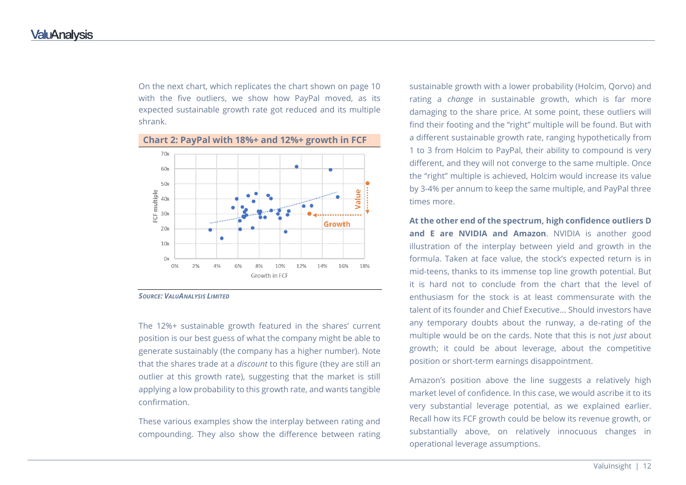On the next chart, which replicates the chart shown on page 10 with the five outliers, we show how PayPal moved, as its expected sustainable growth rate got reduced and its multiple shrank.



### **Chart 2: PayPal with 18%+ and 12%+ growth in FCF**

#### *SOURCE: VALUANALYSIS LIMITED*

The 12%+ sustainable growth featured in the shares' current position is our best guess of what the company might be able to generate sustainably (the company has a higher number). Note that the shares trade at a *discount* to this figure (they are still an outlier at this growth rate), suggesting that the market is still applying a low probability to this growth rate, and wants tangible confirmation.

These various examples show the interplay between rating and compounding. They also show the difference between rating sustainable growth with a lower probability (Holcim, Qorvo) and rating a *change* in sustainable growth, which is far more damaging to the share price. At some point, these outliers will find their footing and the "right" multiple will be found. But with a different sustainable growth rate, ranging hypothetically from 1 to 3 from Holcim to PayPal, their ability to compound is very different, and they will not converge to the same multiple. Once the "right" multiple is achieved, Holcim would increase its value by 3-4% per annum to keep the same multiple, and PayPal three times more.

**At the other end of the spectrum, high confidence outliers D and E are NVIDIA and Amazon**. NVIDIA is another good illustration of the interplay between yield and growth in the formula. Taken at face value, the stock's expected return is in mid-teens, thanks to its immense top line growth potential. But it is hard not to conclude from the chart that the level of enthusiasm for the stock is at least commensurate with the talent of its founder and Chief Executive... Should investors have any temporary doubts about the runway, a de-rating of the multiple would be on the cards. Note that this is not *just* about growth; it could be about leverage, about the competitive position or short-term earnings disappointment.

Amazon's position above the line suggests a relatively high market level of confidence. In this case, we would ascribe it to its very substantial leverage potential, as we explained earlier. Recall how its FCF growth could be below its revenue growth, or substantially above, on relatively innocuous changes in operational leverage assumptions.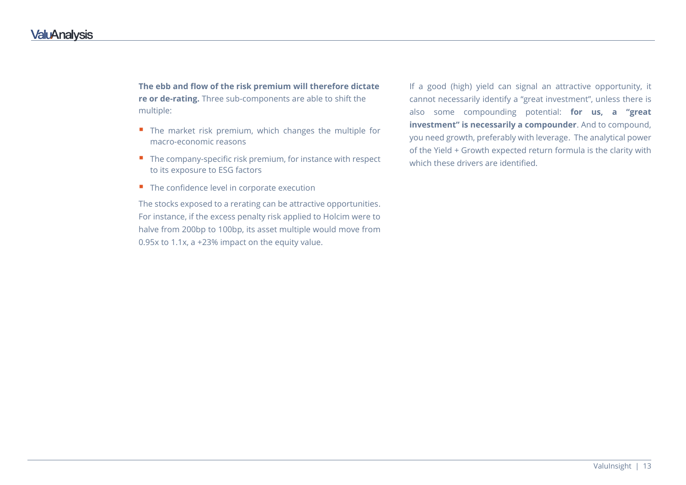**The ebb and flow of the risk premium will therefore dictate re or de-rating.** Three sub-components are able to shift the multiple:

- $\blacksquare$  The market risk premium, which changes the multiple for macro-economic reasons
- $\blacksquare$  The company-specific risk premium, for instance with respect to its exposure to ESG factors
- $\blacksquare$  The confidence level in corporate execution

The stocks exposed to a rerating can be attractive opportunities. For instance, if the excess penalty risk applied to Holcim were to halve from 200bp to 100bp, its asset multiple would move from 0.95x to 1.1x, a +23% impact on the equity value.

If a good (high) yield can signal an attractive opportunity, it cannot necessarily identify a "great investment", unless there is also some compounding potential: **for us, a "great investment" is necessarily a compounder**. And to compound, you need growth, preferably with leverage. The analytical power of the Yield + Growth expected return formula is the clarity with which these drivers are identified.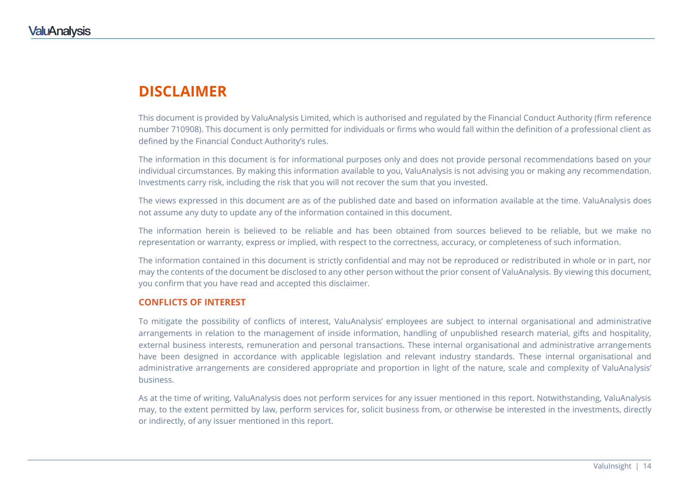### **DISCLAIMER**

This document is provided by ValuAnalysis Limited, which is authorised and regulated by the Financial Conduct Authority (firm reference number 710908). This document is only permitted for individuals or firms who would fall within the definition of a professional client as defined by the Financial Conduct Authority's rules.

The information in this document is for informational purposes only and does not provide personal recommendations based on your individual circumstances. By making this information available to you, ValuAnalysis is not advising you or making any recommendation. Investments carry risk, including the risk that you will not recover the sum that you invested.

The views expressed in this document are as of the published date and based on information available at the time. ValuAnalysis does not assume any duty to update any of the information contained in this document.

The information herein is believed to be reliable and has been obtained from sources believed to be reliable, but we make no representation or warranty, express or implied, with respect to the correctness, accuracy, or completeness of such information.

The information contained in this document is strictly confidential and may not be reproduced or redistributed in whole or in part, nor may the contents of the document be disclosed to any other person without the prior consent of ValuAnalysis. By viewing this document, you confirm that you have read and accepted this disclaimer.

#### **CONFLICTS OF INTEREST**

To mitigate the possibility of conflicts of interest, ValuAnalysis' employees are subject to internal organisational and administrative arrangements in relation to the management of inside information, handling of unpublished research material, gifts and hospitality, external business interests, remuneration and personal transactions. These internal organisational and administrative arrangements have been designed in accordance with applicable legislation and relevant industry standards. These internal organisational and administrative arrangements are considered appropriate and proportion in light of the nature, scale and complexity of ValuAnalysis' business.

As at the time of writing, ValuAnalysis does not perform services for any issuer mentioned in this report. Notwithstanding, ValuAnalysis may, to the extent permitted by law, perform services for, solicit business from, or otherwise be interested in the investments, directly or indirectly, of any issuer mentioned in this report.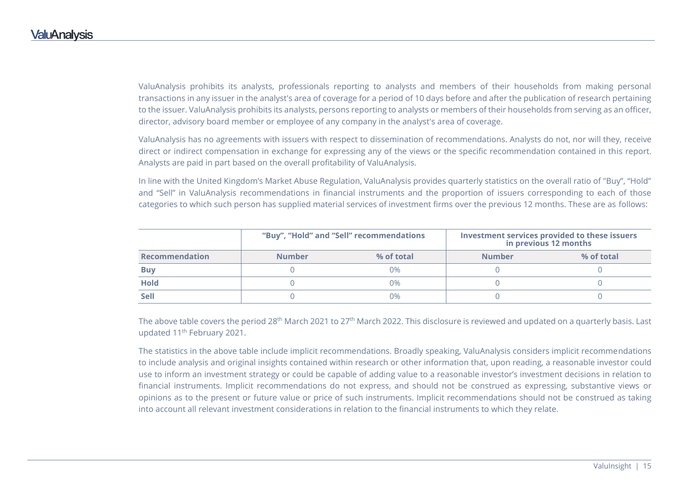ValuAnalysis prohibits its analysts, professionals reporting to analysts and members of their households from making personal transactions in any issuer in the analyst's area of coverage for a period of 10 days before and after the publication of research pertaining to the issuer. ValuAnalysis prohibits its analysts, persons reporting to analysts or members of their households from serving as an officer, director, advisory board member or employee of any company in the analyst's area of coverage.

ValuAnalysis has no agreements with issuers with respect to dissemination of recommendations. Analysts do not, nor will they, receive direct or indirect compensation in exchange for expressing any of the views or the specific recommendation contained in this report. Analysts are paid in part based on the overall profitability of ValuAnalysis.

In line with the United Kingdom's Market Abuse Regulation, ValuAnalysis provides quarterly statistics on the overall ratio of "Buy", "Hold" and "Sell" in ValuAnalysis recommendations in financial instruments and the proportion of issuers corresponding to each of those categories to which such person has supplied material services of investment firms over the previous 12 months. These are as follows:

|                | "Buy", "Hold" and "Sell" recommendations |            | Investment services provided to these issuers<br>in previous 12 months |            |
|----------------|------------------------------------------|------------|------------------------------------------------------------------------|------------|
| Recommendation | <b>Number</b>                            | % of total | <b>Number</b>                                                          | % of total |
| <b>Buy</b>     |                                          | በ%         |                                                                        |            |
| <b>Hold</b>    |                                          | በ%         |                                                                        |            |
| <b>Sell</b>    |                                          | በ%         |                                                                        |            |

The above table covers the period 28<sup>th</sup> March 2021 to 27<sup>th</sup> March 2022. This disclosure is reviewed and updated on a quarterly basis. Last updated 11<sup>th</sup> February 2021.

The statistics in the above table include implicit recommendations. Broadly speaking, ValuAnalysis considers implicit recommendations to include analysis and original insights contained within research or other information that, upon reading, a reasonable investor could use to inform an investment strategy or could be capable of adding value to a reasonable investor's investment decisions in relation to financial instruments. Implicit recommendations do not express, and should not be construed as expressing, substantive views or opinions as to the present or future value or price of such instruments. Implicit recommendations should not be construed as taking into account all relevant investment considerations in relation to the financial instruments to which they relate.